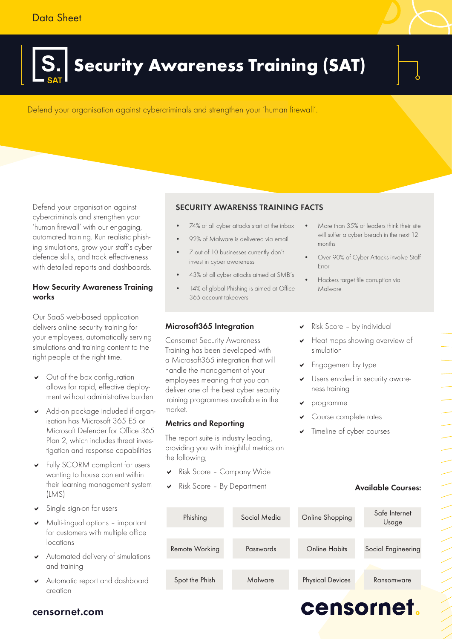# Data Sheet



Defend your organisation against cybercriminals and strengthen your 'human <mark>firewall'</mark>.

Defend your organisation against cybercriminals and strengthen your 'human firewall' with our engaging, automated training. Run realistic phishing simulations, grow your staff's cyber<br>interferences defence skills, and track effectiveness with detailed reports and dashboards.

#### How Security Awareness Training works works works works and the set of the set of the set of the set of the set of the set of the set of the s

Our SaaS web-based application delivers online security training for your employees, automatically serving geen employees, accomationly serving<br>simulations and training content to the right people at the right time.

- $\blacktriangleright$  Out of the box configuration ment without administrative burden allows for rapid, effective deploy-
- $\alpha$  and  $\alpha$  protection from all  $\alpha$ Add-on package included if organ-Microsoft Defender for Office 365 Plan 2, which includes threat inves-• 100% virus protection tigation and response capabilities isation has Microsoft 365 E5 or
- warning to nouse comern winnin<br>their learning management system  $E: V \cup V$ v Fully SCORM compliant for users wanting to house content within (LMS)
- $\vee$  Single sign-on for users
- for  $\mathbf{v}$  and  $\mathbf{v}$  is  $\mathbf{v}$  is  $\mathbf{v}$  and  $\mathbf{v}$  is  $\mathbf{v}$  is  $\mathbf{v}$  is a set of  $\mathbf{v}$  is  $\mathbf{v}$  is a set of  $\mathbf{v}$  is  $\mathbf{v}$  is a set of  $\mathbf{v}$  is  $\mathbf{v}$  is a set of  $\mathbf{v}$  is  $\mathbf{v}$  is  $\triangleright$  Multi-lingual options – important for customers with multiple office locations
- Automated delivery of simulations and training
- Automatic report and dashboard creation

## SECURITY AWARENSS TRAINING FACTS

- 74% of all cyber attacks start at the inbox
- can inspect all aspects of email, including • 92% of Malware is delivered via email
- 7 out of 10 businesses currently don't such as delivers in cyber awareness
- 43% of all cyber attacks aimed at SMB's
- 14% of global Phishing is aimed at Office solution and a full cloud-based email routing  $365$  account takeovers

#### Microsoft365 Integration professional marketing and suspect mass email

Censornet Security Awareness Training has been developed with a Microsoft365 integration that will handle the management of your deliver one of the best cyber security training programmes available in the market. Security and Multi-Factor Authentication. The employees meaning that you can

#### Metrics and Reporting

The report suite is industry leading,  $m$ e report some is muosity reuting, providing you with insightful metrics on the following;

- Risk Score Company Wide
- Risk Score By Department
- More than 35% of leaders think their site will suffer a cyber breach in the next 12 er incorporates multiple technologies to the technologies to the technologies to the technologies to the technologies to the technologies to the technologies to the technologies to the technologies to the technologies to t months
- Over 90% of Cyber Attacks involve Staff rates with very high accuracy Error
- Hackers target file corruption via optional Outbound email and outbound email and outbound email and outbound email and outbound email and analysis
- behaviour based AV engines including  $\triangledown$  Risk Score – by individual
- ► Heat maps showing overview of simulation from malicial protections of the control of the control of the control of the control of the control of the control of the control of the control of the control of the control of the control of the control of th
- $\triangledown$  Engagement by type  $\sigma$  of  $\sigma$
- Users enroled in security awareness training

censornet.

- $\triangledown$  programme
- $\vee$  Course complete rates
- able to quickly view exactly why an email  $\triangledown$  Timeline of cyber courses

# Available Courses:

ニーニー ニーニー ニー ニー・レーシン インシンシング

| ant  | Phishing       | Social Media | Online Shopping         | Safe Internet<br>Usage |
|------|----------------|--------------|-------------------------|------------------------|
| ce   |                |              |                         |                        |
| ions | Remote Working | Passwords    | <b>Online Habits</b>    | Social Engineering     |
|      |                |              |                         |                        |
| ard  | Spot the Phish | Malware      | <b>Physical Devices</b> | Ransomware             |

#### censornet.com